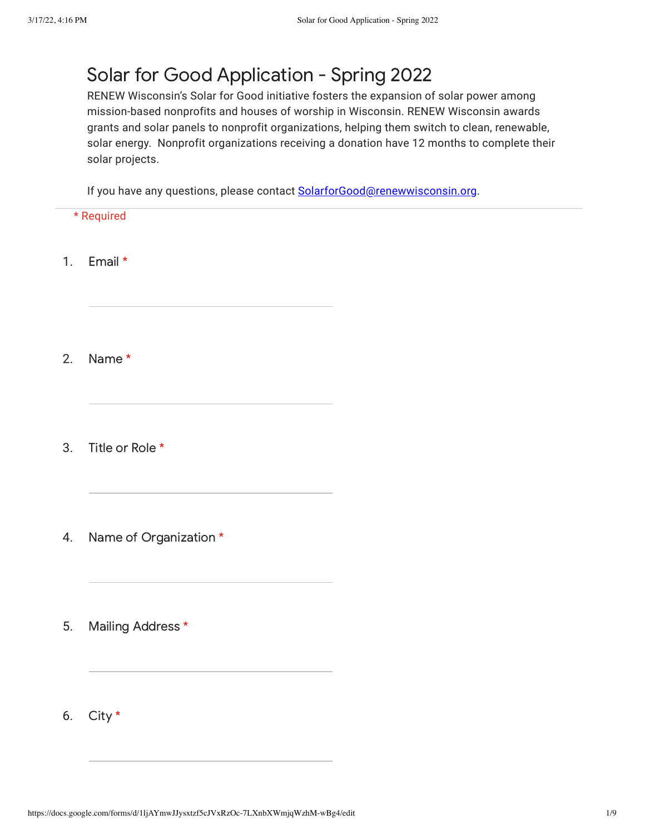## Solar for Good Application - Spring 2022

RENEW Wisconsin's Solar for Good initiative fosters the expansion of solar power among mission-based nonprofits and houses of worship in Wisconsin. RENEW Wisconsin awards grants and solar panels to nonprofit organizations, helping them switch to clean, renewable, solar energy. Nonprofit organizations receiving a donation have 12 months to complete their solar projects.

If you have any questions, please contact [SolarforGood@renewwisconsin.org.](mailto:SolarforGood@renewwisconsin.org)

- \* Required
- 1. Email \*
- 2. Name \*
- 3. Title or Role \*
- 4. Name of Organization \*
- 5. Mailing Address \*
- 6. City \*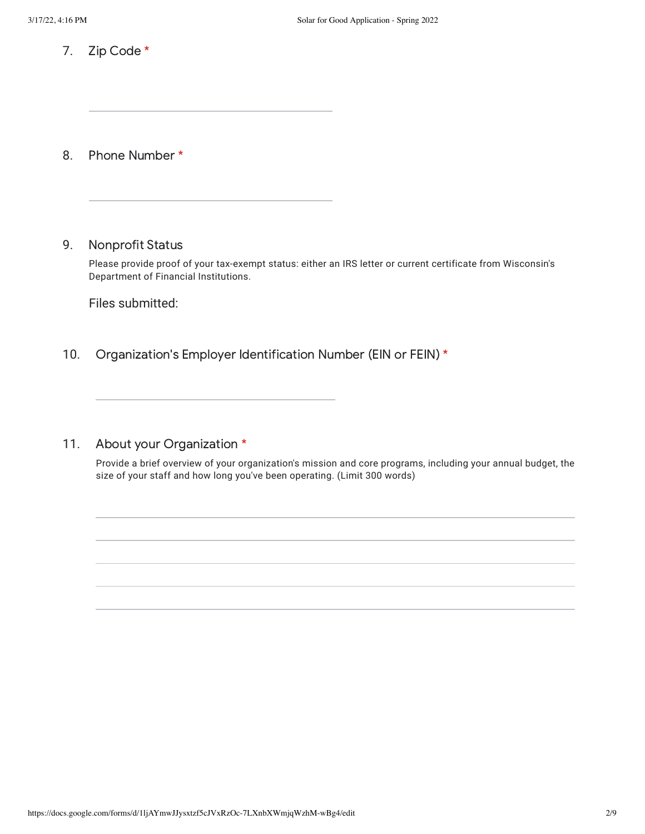7. Zip Code \*

- 8. Phone Number \*
- 9. Nonprofit Status

Please provide proof of your tax-exempt status: either an IRS letter or current certificate from Wisconsin's Department of Financial Institutions.

Files submitted:

- 10. Organization's Employer Identification Number (EIN or FEIN) \*
- 11. About your Organization \*

Provide a brief overview of your organization's mission and core programs, including your annual budget, the size of your staff and how long you've been operating. (Limit 300 words)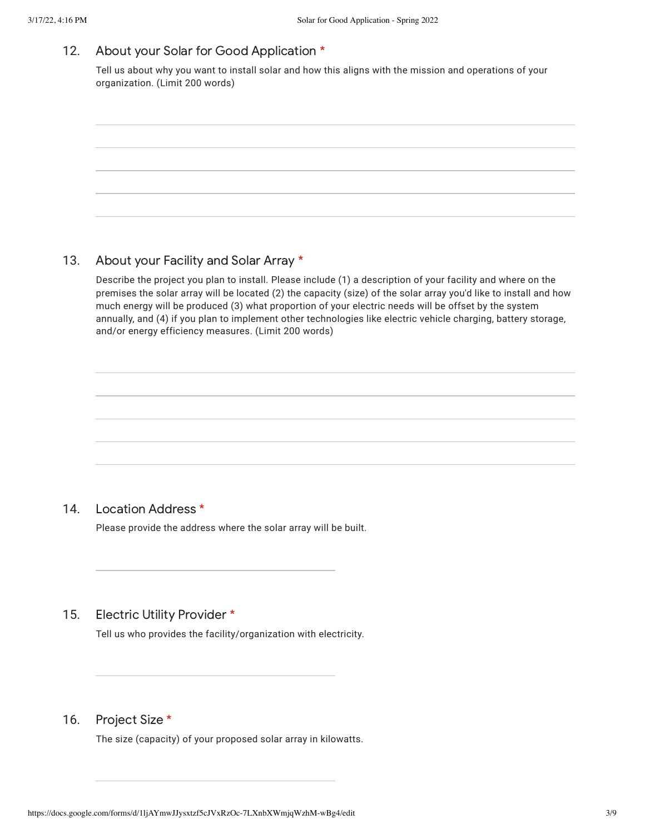#### 12. About your Solar for Good Application \*

Tell us about why you want to install solar and how this aligns with the mission and operations of your organization. (Limit 200 words)



#### 13. About your Facility and Solar Array \*

Describe the project you plan to install. Please include (1) a description of your facility and where on the premises the solar array will be located (2) the capacity (size) of the solar array you'd like to install and how much energy will be produced (3) what proportion of your electric needs will be offset by the system annually, and (4) if you plan to implement other technologies like electric vehicle charging, battery storage, and/or energy efficiency measures. (Limit 200 words)

#### 14. Location Address \*

Please provide the address where the solar array will be built.

#### 15. Electric Utility Provider \*

Tell us who provides the facility/organization with electricity.

#### 16. Project Size \*

The size (capacity) of your proposed solar array in kilowatts.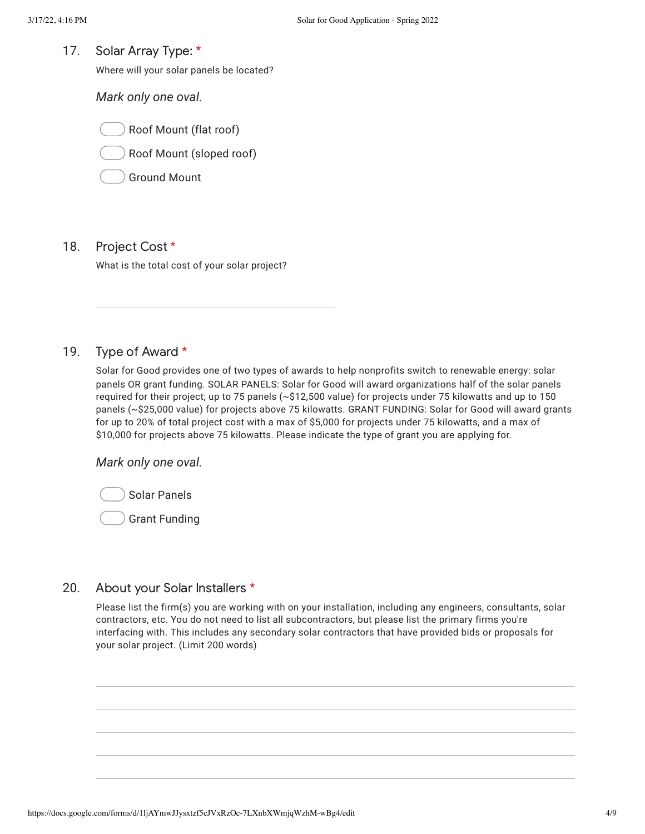17. Solar Array Type: \*

Where will your solar panels be located?

*Mark only one oval.*

Roof Mount (flat roof)

Roof Mount (sloped roof)

Ground Mount

#### 18. Project Cost \*

What is the total cost of your solar project?

#### 19. Type of Award \*

Solar for Good provides one of two types of awards to help nonprofits switch to renewable energy: solar panels OR grant funding. SOLAR PANELS: Solar for Good will award organizations half of the solar panels required for their project; up to 75 panels (~\$12,500 value) for projects under 75 kilowatts and up to 150 panels (~\$25,000 value) for projects above 75 kilowatts. GRANT FUNDING: Solar for Good will award grants for up to 20% of total project cost with a max of \$5,000 for projects under 75 kilowatts, and a max of \$10,000 for projects above 75 kilowatts. Please indicate the type of grant you are applying for.

### *Mark only one oval.*



Grant Funding

#### 20. About your Solar Installers \*

Please list the firm(s) you are working with on your installation, including any engineers, consultants, solar contractors, etc. You do not need to list all subcontractors, but please list the primary firms you're interfacing with. This includes any secondary solar contractors that have provided bids or proposals for your solar project. (Limit 200 words)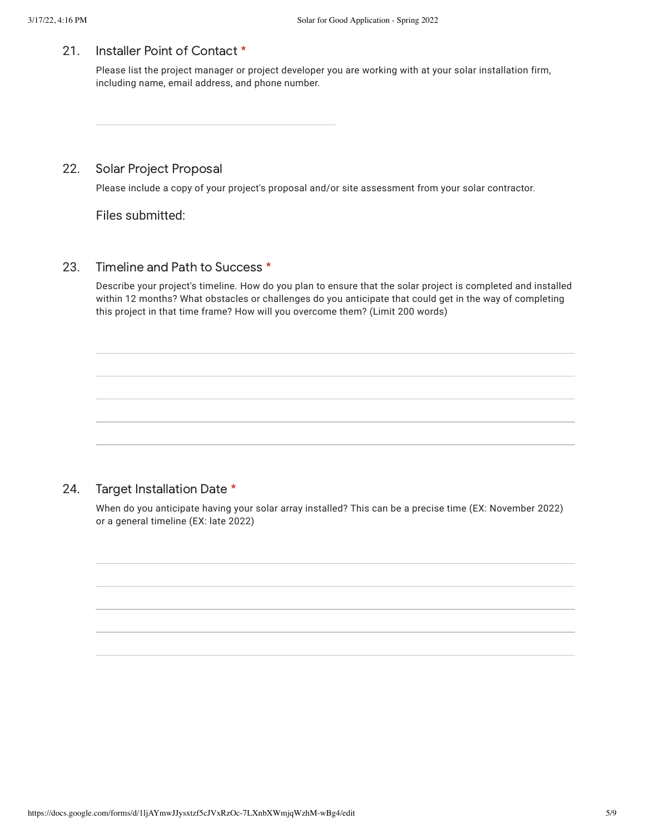#### 21. Installer Point of Contact \*

Please list the project manager or project developer you are working with at your solar installation firm, including name, email address, and phone number.

#### 22. Solar Project Proposal

Please include a copy of your project's proposal and/or site assessment from your solar contractor.

Files submitted:

#### 23. Timeline and Path to Success \*

Describe your project's timeline. How do you plan to ensure that the solar project is completed and installed within 12 months? What obstacles or challenges do you anticipate that could get in the way of completing this project in that time frame? How will you overcome them? (Limit 200 words)

#### 24. Target Installation Date \*

When do you anticipate having your solar array installed? This can be a precise time (EX: November 2022) or a general timeline (EX: late 2022)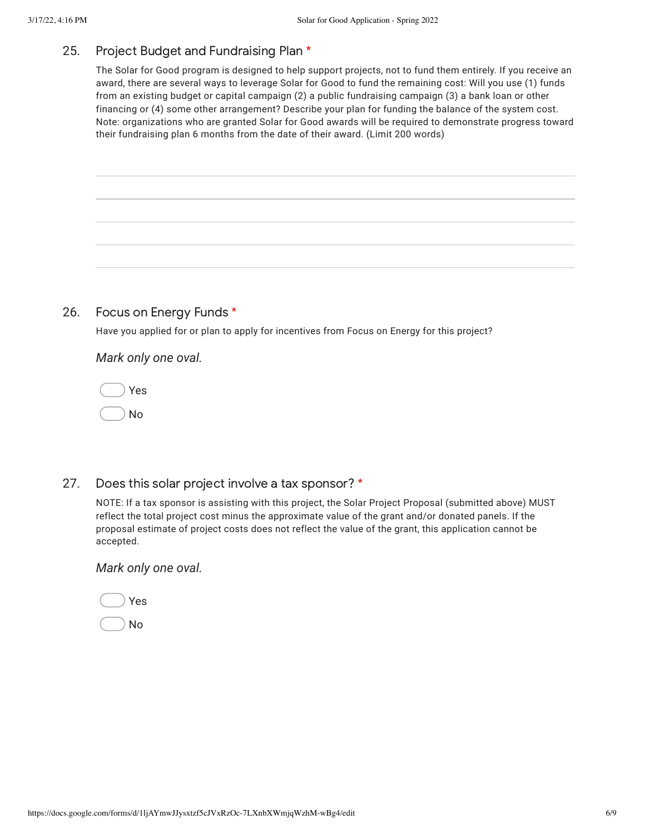#### 25. Project Budget and Fundraising Plan \*

The Solar for Good program is designed to help support projects, not to fund them entirely. If you receive an award, there are several ways to leverage Solar for Good to fund the remaining cost: Will you use (1) funds from an existing budget or capital campaign (2) a public fundraising campaign (3) a bank loan or other financing or (4) some other arrangement? Describe your plan for funding the balance of the system cost. Note: organizations who are granted Solar for Good awards will be required to demonstrate progress toward their fundraising plan 6 months from the date of their award. (Limit 200 words)

#### 26. Focus on Energy Funds \*

Have you applied for or plan to apply for incentives from Focus on Energy for this project?

*Mark only one oval.*

|  | V<br>es |
|--|---------|
|  |         |

No

27. Does this solar project involve a tax sponsor? \*

> NOTE: If a tax sponsor is assisting with this project, the Solar Project Proposal (submitted above) MUST reflect the total project cost minus the approximate value of the grant and/or donated panels. If the proposal estimate of project costs does not reflect the value of the grant, this application cannot be accepted.

## *Mark only one oval.*

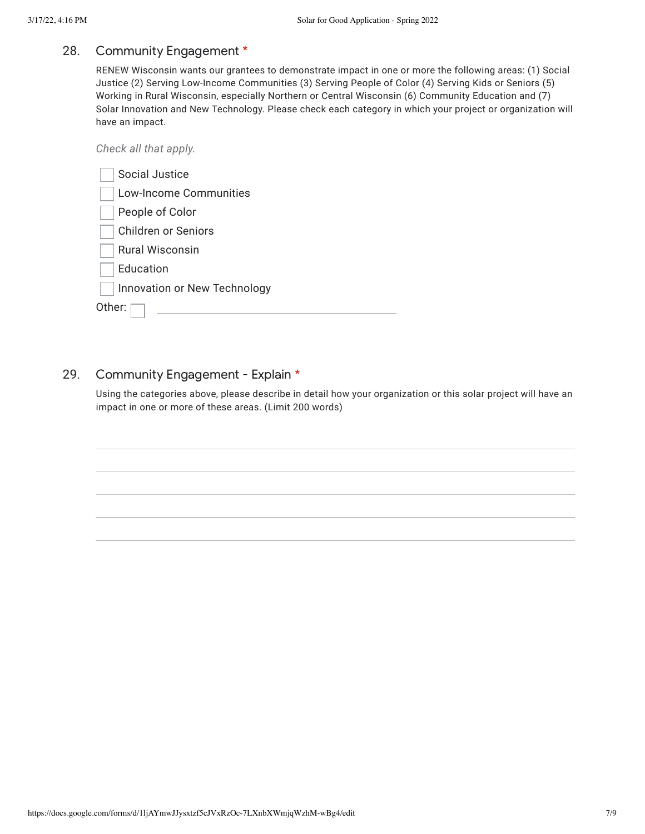#### 28. Community Engagement \*

RENEW Wisconsin wants our grantees to demonstrate impact in one or more the following areas: (1) Social Justice (2) Serving Low-Income Communities (3) Serving People of Color (4) Serving Kids or Seniors (5) Working in Rural Wisconsin, especially Northern or Central Wisconsin (6) Community Education and (7) Solar Innovation and New Technology. Please check each category in which your project or organization will have an impact.

| Check all that apply.         |
|-------------------------------|
| Social Justice                |
| <b>Low-Income Communities</b> |
| People of Color               |
| <b>Children or Seniors</b>    |
| Rural Wisconsin               |
| Education                     |
| Innovation or New Technology  |
| Other:                        |
|                               |

#### 29. Community Engagement - Explain \*

Using the categories above, please describe in detail how your organization or this solar project will have an impact in one or more of these areas. (Limit 200 words)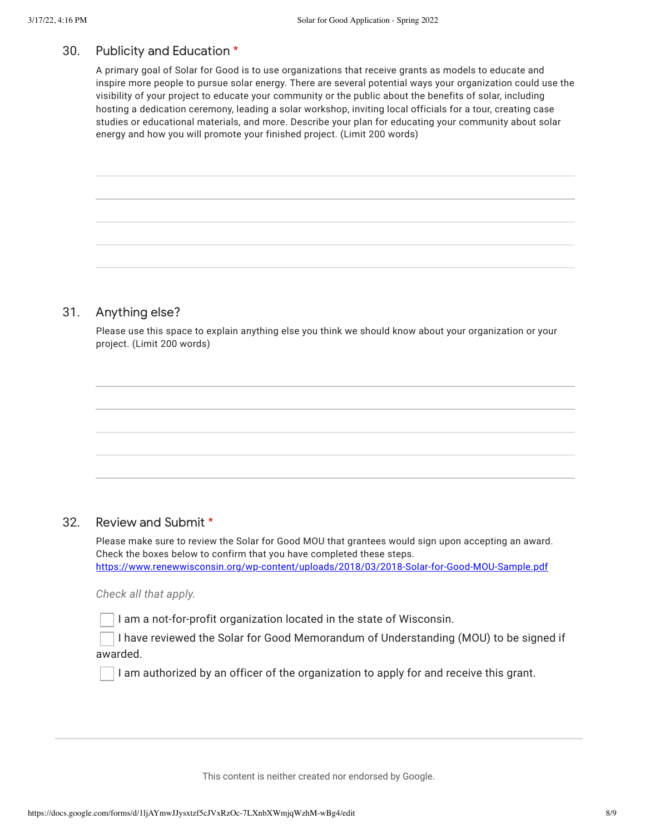#### 30. Publicity and Education \*

A primary goal of Solar for Good is to use organizations that receive grants as models to educate and inspire more people to pursue solar energy. There are several potential ways your organization could use the visibility of your project to educate your community or the public about the benefits of solar, including hosting a dedication ceremony, leading a solar workshop, inviting local officials for a tour, creating case studies or educational materials, and more. Describe your plan for educating your community about solar energy and how you will promote your finished project. (Limit 200 words)

#### 31. Anything else?

Please use this space to explain anything else you think we should know about your organization or your project. (Limit 200 words)

#### 32. Review and Submit \*

Please make sure to review the Solar for Good MOU that grantees would sign upon accepting an award. Check the boxes below to confirm that you have completed these steps. [https://www.renewwisconsin.org/wp-content/uploads/2018/03/2018-Solar-for-Good-MOU-Sample.pdf](https://www.google.com/url?q=https://www.renewwisconsin.org/wp-content/uploads/2018/03/2018-Solar-for-Good-MOU-Sample.pdf&sa=D&source=editors&ust=1647555367312211&usg=AOvVaw09A8ZSrZ9W6jPM10LDLIlr)

*Check all that apply.*

I am a not-for-profit organization located in the state of Wisconsin.

I have reviewed the Solar for Good Memorandum of Understanding (MOU) to be signed if awarded.

I am authorized by an officer of the organization to apply for and receive this grant.

This content is neither created nor endorsed by Google.